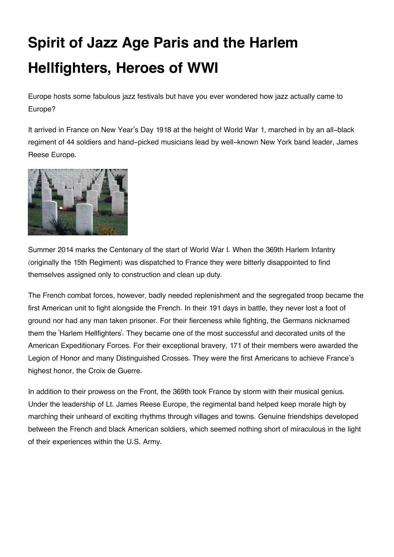## **Spirit of Jazz Age Paris and the Harlem Hellfighters, Heroes of WWI**

Europe hosts some fabulous jazz festivals but have you ever wondered how jazz actually came to Europe?

It arrived in France on New Year's Day 1918 at the height of World War 1, marched in by an all-black regiment of 44 soldiers and hand-picked musicians lead by well-known New York band leader, James Reese Europe.



Summer 2014 marks the Centenary of the start of World War I. When the 369th Harlem Infantry (originally the 15th Regiment) was dispatched to France they were bitterly disappointed to find themselves assigned only to construction and clean up duty.

The French combat forces, however, badly needed replenishment and the segregated troop became the first American unit to fight alongside the French. In their 191 days in battle, they never lost a foot of ground nor had any man taken prisoner. For their fierceness while fighting, the Germans nicknamed them the 'Harlem Hellfighters'. They became one of the most successful and decorated units of the American Expeditionary Forces. For their exceptional bravery, 171 of their members were awarded the Legion of Honor and many Distinguished Crosses. They were the first Americans to achieve France's highest honor, the Croix de Guerre.

In addition to their prowess on the Front, the 369th took France by storm with their musical genius. Under the leadership of Lt. James Reese Europe, the regimental band helped keep morale high by marching their unheard of exciting rhythms through villages and towns. Genuine friendships developed between the French and black American soldiers, which seemed nothing short of miraculous in the light of their experiences within the U.S. Army.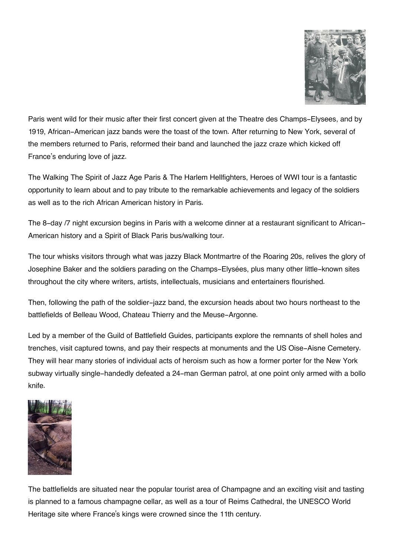

Paris went wild for their music after their first concert given at the Theatre des Champs-Elysees, and by 1919, African-American jazz bands were the toast of the town. After returning to New York, several of the members returned to Paris, reformed their band and launched the jazz craze which kicked off France's enduring love of jazz.

The Walking The Spirit of Jazz Age Paris & The Harlem Hellfighters, Heroes of WWI tour is a fantastic opportunity to learn about and to pay tribute to the remarkable achievements and legacy of the soldiers as well as to the rich African American history in Paris.

The 8-day /7 night excursion begins in Paris with a welcome dinner at a restaurant significant to African-American history and a Spirit of Black Paris bus/walking tour.

The tour whisks visitors through what was jazzy Black Montmartre of the Roaring 20s, relives the glory of Josephine Baker and the soldiers parading on the Champs-Elysées, plus many other little-known sites throughout the city where writers, artists, intellectuals, musicians and entertainers flourished.

Then, following the path of the soldier-jazz band, the excursion heads about two hours northeast to the battlefields of Belleau Wood, Chateau Thierry and the Meuse-Argonne.

Led by a member of the Guild of Battlefield Guides, participants explore the remnants of shell holes and trenches, visit captured towns, and pay their respects at monuments and the US Oise-Aisne Cemetery. They will hear many stories of individual acts of heroism such as how a former porter for the New York subway virtually single-handedly defeated a 24-man German patrol, at one point only armed with a bollo knife.



The battlefields are situated near the popular tourist area of Champagne and an exciting visit and tasting is planned to a famous champagne cellar, as well as a tour of Reims Cathedral, the UNESCO World Heritage site where France's kings were crowned since the 11th century.